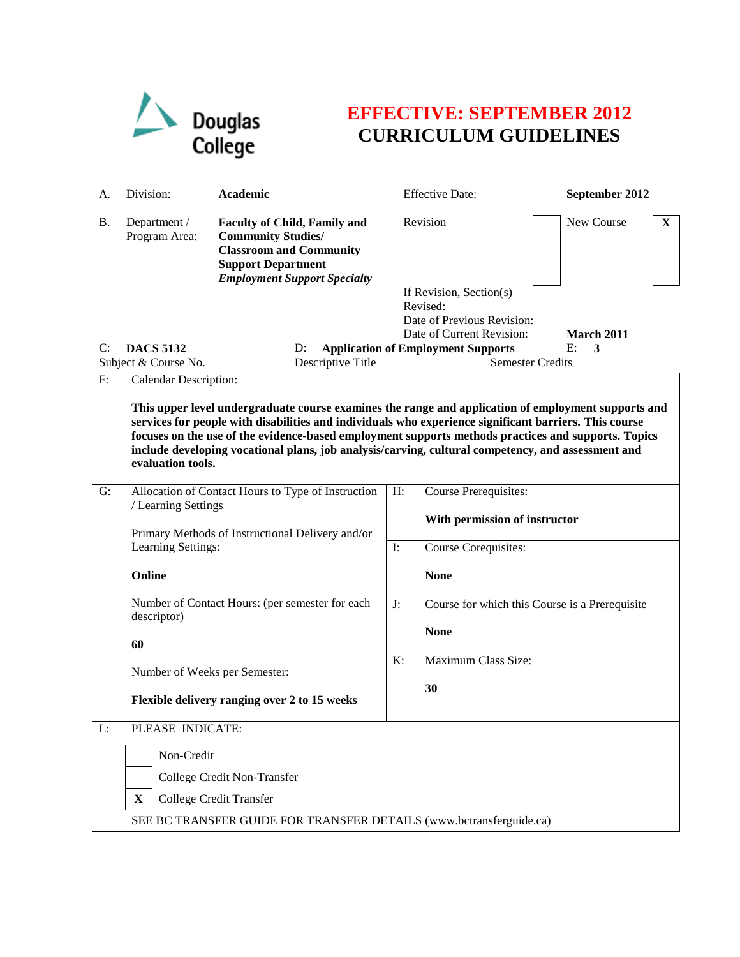

## **EFFECTIVE: SEPTEMBER 2012 CURRICULUM GUIDELINES**

| А.        | Division:                                                                                                                                                                                                                                                                                                                                                                                                                                                                                                                               | Academic                                                                                                                                                               |                                                      | <b>Effective Date:</b>                                                                                                                      | September 2012        |  |
|-----------|-----------------------------------------------------------------------------------------------------------------------------------------------------------------------------------------------------------------------------------------------------------------------------------------------------------------------------------------------------------------------------------------------------------------------------------------------------------------------------------------------------------------------------------------|------------------------------------------------------------------------------------------------------------------------------------------------------------------------|------------------------------------------------------|---------------------------------------------------------------------------------------------------------------------------------------------|-----------------------|--|
| <b>B.</b> | Department /<br>Program Area:                                                                                                                                                                                                                                                                                                                                                                                                                                                                                                           | <b>Faculty of Child, Family and</b><br><b>Community Studies/</b><br><b>Classroom and Community</b><br><b>Support Department</b><br><b>Employment Support Specialty</b> |                                                      | Revision                                                                                                                                    | New Course<br>X       |  |
| C:        | <b>DACS 5132</b>                                                                                                                                                                                                                                                                                                                                                                                                                                                                                                                        | D:                                                                                                                                                                     |                                                      | If Revision, Section(s)<br>Revised:<br>Date of Previous Revision:<br>Date of Current Revision:<br><b>Application of Employment Supports</b> | March 2011<br>E:<br>3 |  |
| F:        | Subject & Course No.<br>Descriptive Title<br><b>Calendar Description:</b>                                                                                                                                                                                                                                                                                                                                                                                                                                                               |                                                                                                                                                                        | <b>Semester Credits</b>                              |                                                                                                                                             |                       |  |
| G:        | This upper level undergraduate course examines the range and application of employment supports and<br>services for people with disabilities and individuals who experience significant barriers. This course<br>focuses on the use of the evidence-based employment supports methods practices and supports. Topics<br>include developing vocational plans, job analysis/carving, cultural competency, and assessment and<br>evaluation tools.<br>Allocation of Contact Hours to Type of Instruction<br>$H$ :<br>Course Prerequisites: |                                                                                                                                                                        |                                                      |                                                                                                                                             |                       |  |
|           | / Learning Settings<br>Primary Methods of Instructional Delivery and/or                                                                                                                                                                                                                                                                                                                                                                                                                                                                 |                                                                                                                                                                        | With permission of instructor                        |                                                                                                                                             |                       |  |
|           | Learning Settings:                                                                                                                                                                                                                                                                                                                                                                                                                                                                                                                      |                                                                                                                                                                        |                                                      | Course Corequisites:                                                                                                                        |                       |  |
|           | Online<br>Number of Contact Hours: (per semester for each<br>descriptor)<br>60<br>Number of Weeks per Semester:<br>Flexible delivery ranging over 2 to 15 weeks                                                                                                                                                                                                                                                                                                                                                                         |                                                                                                                                                                        | <b>None</b>                                          |                                                                                                                                             |                       |  |
|           |                                                                                                                                                                                                                                                                                                                                                                                                                                                                                                                                         |                                                                                                                                                                        | J:<br>Course for which this Course is a Prerequisite |                                                                                                                                             |                       |  |
|           |                                                                                                                                                                                                                                                                                                                                                                                                                                                                                                                                         |                                                                                                                                                                        |                                                      | <b>None</b>                                                                                                                                 |                       |  |
|           |                                                                                                                                                                                                                                                                                                                                                                                                                                                                                                                                         |                                                                                                                                                                        | Maximum Class Size:<br>K:                            |                                                                                                                                             |                       |  |
|           |                                                                                                                                                                                                                                                                                                                                                                                                                                                                                                                                         |                                                                                                                                                                        |                                                      | 30                                                                                                                                          |                       |  |
| L:        | PLEASE INDICATE:                                                                                                                                                                                                                                                                                                                                                                                                                                                                                                                        |                                                                                                                                                                        |                                                      |                                                                                                                                             |                       |  |
|           | Non-Credit                                                                                                                                                                                                                                                                                                                                                                                                                                                                                                                              |                                                                                                                                                                        |                                                      |                                                                                                                                             |                       |  |
|           | College Credit Non-Transfer                                                                                                                                                                                                                                                                                                                                                                                                                                                                                                             |                                                                                                                                                                        |                                                      |                                                                                                                                             |                       |  |
|           | College Credit Transfer<br>$\mathbf X$                                                                                                                                                                                                                                                                                                                                                                                                                                                                                                  |                                                                                                                                                                        |                                                      |                                                                                                                                             |                       |  |
|           | SEE BC TRANSFER GUIDE FOR TRANSFER DETAILS (www.bctransferguide.ca)                                                                                                                                                                                                                                                                                                                                                                                                                                                                     |                                                                                                                                                                        |                                                      |                                                                                                                                             |                       |  |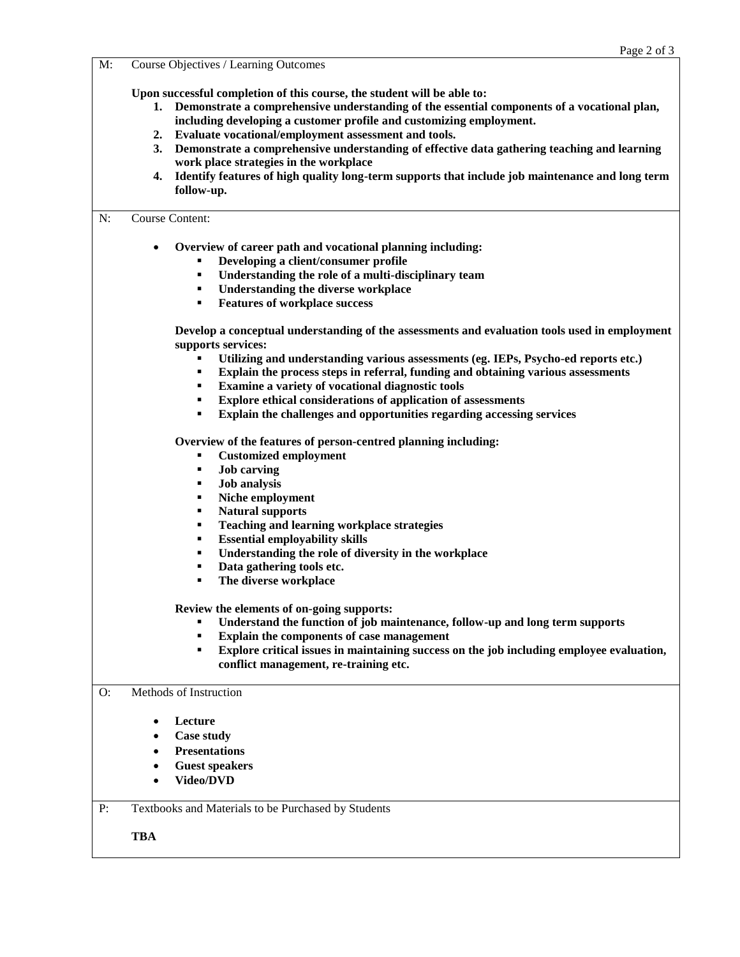M: Course Objectives / Learning Outcomes

**Upon successful completion of this course, the student will be able to:**

- **1. Demonstrate a comprehensive understanding of the essential components of a vocational plan, including developing a customer profile and customizing employment.**
- **2. Evaluate vocational/employment assessment and tools.**
- **3. Demonstrate a comprehensive understanding of effective data gathering teaching and learning work place strategies in the workplace**
- **4. Identify features of high quality long-term supports that include job maintenance and long term follow-up.**

## N: Course Content:

- **Overview of career path and vocational planning including:**
	- **Developing a client/consumer profile**
	- **Understanding the role of a multi-disciplinary team**
	- **Understanding the diverse workplace**
	- **Features of workplace success**

**Develop a conceptual understanding of the assessments and evaluation tools used in employment supports services:**

- Utilizing and understanding various assessments (eg. IEPs, Psycho-ed reports etc.)<br>■ Explain the process steps in referral, funding and obtaining various assessments
- **Explain the process steps in referral, funding and obtaining various assessments**
- **Examine a variety of vocational diagnostic tools**
- **Explore ethical considerations of application of assessments**
- **Explain the challenges and opportunities regarding accessing services**

**Overview of the features of person-centred planning including:**

- **Customized employment**
- **Job carving**
- **Job analysis**
- **Niche employment**
- **Natural supports**
- **Teaching and learning workplace strategies**
- **Essential employability skills**
- **Understanding the role of diversity in the workplace**
- **Data gathering tools etc.**
- **The diverse workplace**

**Review the elements of on-going supports:**

- **Understand the function of job maintenance, follow-up and long term supports**
- **Explain the components of case management**
- **Explore critical issues in maintaining success on the job including employee evaluation, conflict management, re-training etc.**

## O: Methods of Instruction

- **Lecture**
- **Case study**
- **Presentations**
- **Guest speakers**
- **Video/DVD**

P: Textbooks and Materials to be Purchased by Students

**TBA**